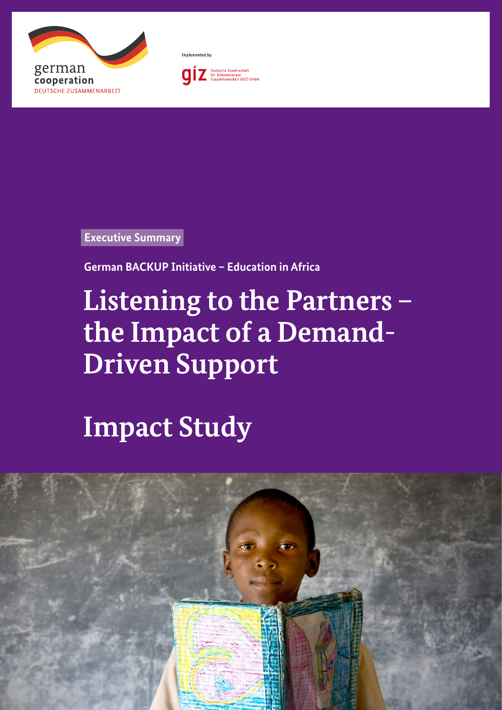



Implemented by

Deutsche Gesellschaft<br>für Internationale<br>Zusammenarbeit (GIZ) GmbH  $\boldsymbol{0}$ 

**Executive Summary**

**German BACKUP Initiative – Education in Africa**

## **Listening to the Partners – the Impact of a Demand-Driven Support**

**Impact Study**

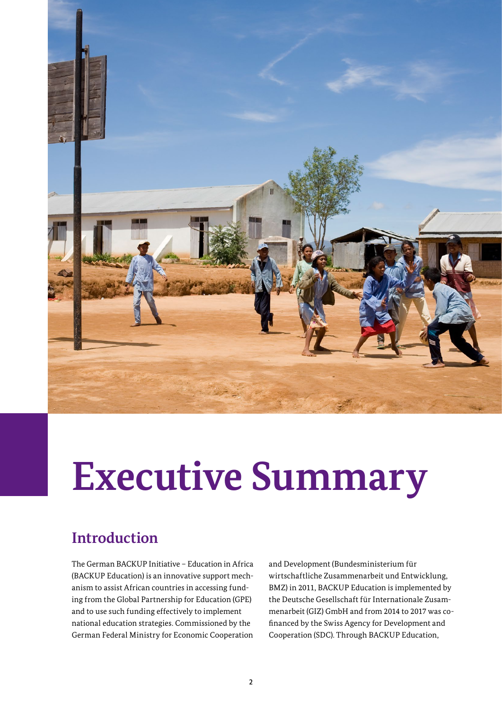

# **Executive Summary**

### **Introduction**

The German BACKUP Initiative – Education in Africa (BACKUP Education) is an innovative support mechanism to assist African countries in accessing funding from the Global Partnership for Education (GPE) and to use such funding effectively to implement national education strategies. Commissioned by the German Federal Ministry for Economic Cooperation

and Development (Bundesministerium für wirtschaftliche Zusammenarbeit und Entwicklung, BMZ) in 2011, BACKUP Education is implemented by the Deutsche Gesellschaft für Internationale Zusammenarbeit (GIZ) GmbH and from 2014 to 2017 was cofinanced by the Swiss Agency for Development and Cooperation (SDC). Through BACKUP Education,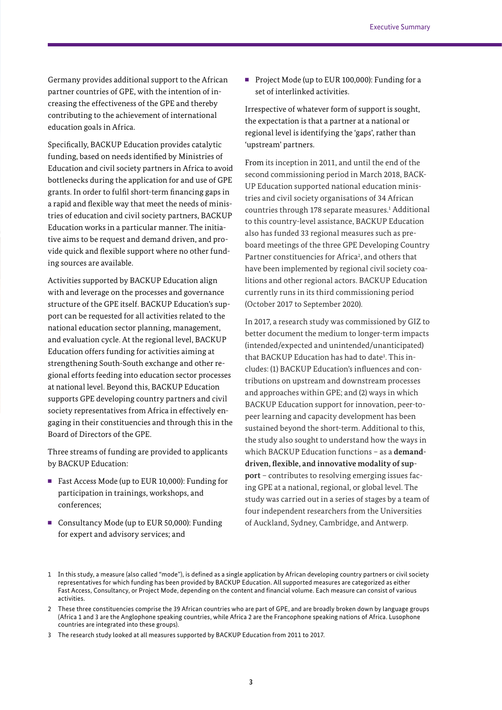Germany provides additional support to the African partner countries of GPE, with the intention of increasing the effectiveness of the GPE and thereby contributing to the achievement of international education goals in Africa.

Specifically, BACKUP Education provides catalytic funding, based on needs identified by Ministries of Education and civil society partners in Africa to avoid bottlenecks during the application for and use of GPE grants. In order to fulfil short-term financing gaps in a rapid and flexible way that meet the needs of ministries of education and civil society partners, BACKUP Education works in a particular manner. The initiative aims to be request and demand driven, and provide quick and flexible support where no other funding sources are available.

Activities supported by BACKUP Education align with and leverage on the processes and governance structure of the GPE itself. BACKUP Education's support can be requested for all activities related to the national education sector planning, management, and evaluation cycle. At the regional level, BACKUP Education offers funding for activities aiming at strengthening South-South exchange and other regional efforts feeding into education sector processes at national level. Beyond this, BACKUP Education supports GPE developing country partners and civil society representatives from Africa in effectively engaging in their constituencies and through this in the Board of Directors of the GPE.

Three streams of funding are provided to applicants by BACKUP Education:

- Fast Access Mode (up to EUR 10,000): Funding for participation in trainings, workshops, and conferences;
- Consultancy Mode (up to EUR 50,000): Funding for expert and advisory services; and

■ Project Mode (up to EUR 100,000): Funding for a set of interlinked activities.

Irrespective of whatever form of support is sought, the expectation is that a partner at a national or regional level is identifying the 'gaps', rather than 'upstream' partners.

From its inception in 2011, and until the end of the second commissioning period in March 2018, BACK-UP Education supported national education ministries and civil society organisations of 34 African countries through 178 separate measures.<sup>1</sup> Additional to this country-level assistance, BACKUP Education also has funded 33 regional measures such as preboard meetings of the three GPE Developing Country Partner constituencies for Africa<sup>2</sup>, and others that have been implemented by regional civil society coalitions and other regional actors. BACKUP Education currently runs in its third commissioning period (October 2017 to September 2020).

In 2017, a research study was commissioned by GIZ to better document the medium to longer-term impacts (intended/expected and unintended/unanticipated) that BACKUP Education has had to date<sup>3</sup>. This includes: (1) BACKUP Education's influences and contributions on upstream and downstream processes and approaches within GPE; and (2) ways in which BACKUP Education support for innovation, peer-topeer learning and capacity development has been sustained beyond the short-term. Additional to this, the study also sought to understand how the ways in which BACKUP Education functions – as a **demanddriven, flexible, and innovative modality of support** – contributes to resolving emerging issues facing GPE at a national, regional, or global level. The study was carried out in a series of stages by a team of four independent researchers from the Universities of Auckland, Sydney, Cambridge, and Antwerp.

<sup>1</sup> In this study, a measure (also called "mode"), is defined as a single application by African developing country partners or civil society representatives for which funding has been provided by BACKUP Education. All supported measures are categorized as either Fast Access, Consultancy, or Project Mode, depending on the content and financial volume. Each measure can consist of various activities.

<sup>2</sup> These three constituencies comprise the 39 African countries who are part of GPE, and are broadly broken down by language groups (Africa 1 and 3 are the Anglophone speaking countries, while Africa 2 are the Francophone speaking nations of Africa. Lusophone countries are integrated into these groups).

<sup>3</sup> The research study looked at all measures supported by BACKUP Education from 2011 to 2017.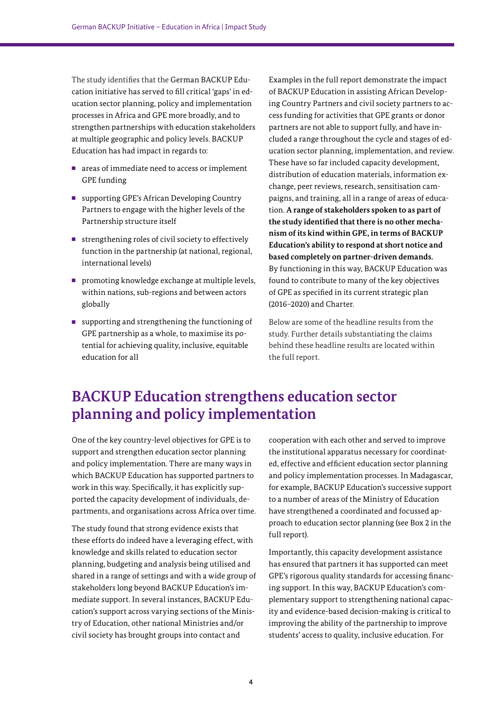The study identifies that the German BACKUP Education initiative has served to fill critical 'gaps' in education sector planning, policy and implementation processes in Africa and GPE more broadly, and to strengthen partnerships with education stakeholders at multiple geographic and policy levels. BACKUP Education has had impact in regards to:

- areas of immediate need to access or implement GPE funding
- supporting GPE's African Developing Country Partners to engage with the higher levels of the Partnership structure itself
- strengthening roles of civil society to effectively function in the partnership (at national, regional, international levels)
- promoting knowledge exchange at multiple levels, within nations, sub-regions and between actors globally
- supporting and strengthening the functioning of GPE partnership as a whole, to maximise its potential for achieving quality, inclusive, equitable education for all

Examples in the full report demonstrate the impact of BACKUP Education in assisting African Developing Country Partners and civil society partners to access funding for activities that GPE grants or donor partners are not able to support fully, and have included a range throughout the cycle and stages of education sector planning, implementation, and review. These have so far included capacity development, distribution of education materials, information exchange, peer reviews, research, sensitisation campaigns, and training, all in a range of areas of education. **A range of stakeholders spoken to as part of the study identified that there is no other mechanism of its kind within GPE, in terms of BACKUP Education's ability to respond at short notice and based completely on partner-driven demands.**  By functioning in this way, BACKUP Education was found to contribute to many of the key objectives of GPE as specified in its current strategic plan (2016–2020) and Charter.

Below are some of the headline results from the study. Further details substantiating the claims behind these headline results are located within the full report.

#### **BACKUP Education strengthens education sector planning and policy implementation**

One of the key country-level objectives for GPE is to support and strengthen education sector planning and policy implementation. There are many ways in which BACKUP Education has supported partners to work in this way. Specifically, it has explicitly supported the capacity development of individuals, departments, and organisations across Africa over time.

The study found that strong evidence exists that these efforts do indeed have a leveraging effect, with knowledge and skills related to education sector planning, budgeting and analysis being utilised and shared in a range of settings and with a wide group of stakeholders long beyond BACKUP Education's immediate support. In several instances, BACKUP Education's support across varying sections of the Ministry of Education, other national Ministries and/or civil society has brought groups into contact and

cooperation with each other and served to improve the institutional apparatus necessary for coordinated, effective and efficient education sector planning and policy implementation processes. In Madagascar, for example, BACKUP Education's successive support to a number of areas of the Ministry of Education have strengthened a coordinated and focussed approach to education sector planning (see Box 2 in the full report).

Importantly, this capacity development assistance has ensured that partners it has supported can meet GPE's rigorous quality standards for accessing financing support. In this way, BACKUP Education's complementary support to strengthening national capacity and evidence-based decision-making is critical to improving the ability of the partnership to improve students' access to quality, inclusive education. For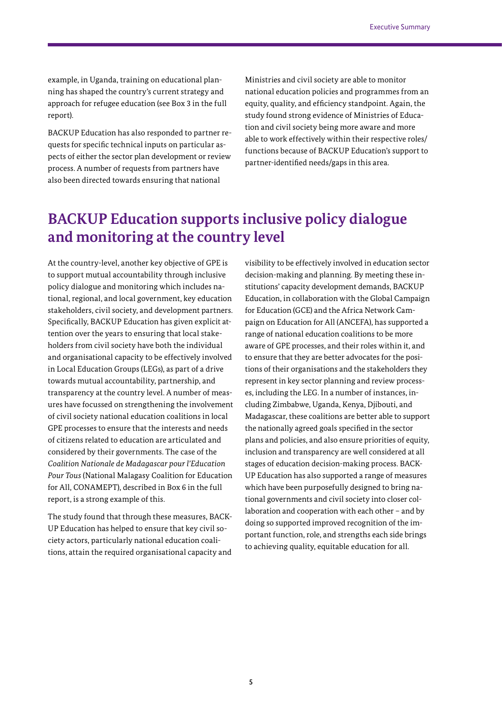example, in Uganda, training on educational planning has shaped the country's current strategy and approach for refugee education (see Box 3 in the full report).

BACKUP Education has also responded to partner requests for specific technical inputs on particular aspects of either the sector plan development or review process. A number of requests from partners have also been directed towards ensuring that national

Ministries and civil society are able to monitor national education policies and programmes from an equity, quality, and efficiency standpoint. Again, the study found strong evidence of Ministries of Education and civil society being more aware and more able to work effectively within their respective roles/ functions because of BACKUP Education's support to partner-identified needs/gaps in this area.

#### **BACKUP Education supports inclusive policy dialogue and monitoring at the country level**

At the country-level, another key objective of GPE is to support mutual accountability through inclusive policy dialogue and monitoring which includes national, regional, and local government, key education stakeholders, civil society, and development partners. Specifically, BACKUP Education has given explicit attention over the years to ensuring that local stakeholders from civil society have both the individual and organisational capacity to be effectively involved in Local Education Groups (LEGs), as part of a drive towards mutual accountability, partnership, and transparency at the country level. A number of measures have focussed on strengthening the involvement of civil society national education coalitions in local GPE processes to ensure that the interests and needs of citizens related to education are articulated and considered by their governments. The case of the *Coalition Nationale de Madagascar pour l'Education Pour Tous* (National Malagasy Coalition for Education for All, CONAMEPT), described in Box 6 in the full report, is a strong example of this.

The study found that through these measures, BACK-UP Education has helped to ensure that key civil society actors, particularly national education coalitions, attain the required organisational capacity and

visibility to be effectively involved in education sector decision-making and planning. By meeting these institutions' capacity development demands, BACKUP Education, in collaboration with the Global Campaign for Education (GCE) and the Africa Network Campaign on Education for All (ANCEFA), has supported a range of national education coalitions to be more aware of GPE processes, and their roles within it, and to ensure that they are better advocates for the positions of their organisations and the stakeholders they represent in key sector planning and review processes, including the LEG. In a number of instances, including Zimbabwe, Uganda, Kenya, Djibouti, and Madagascar, these coalitions are better able to support the nationally agreed goals specified in the sector plans and policies, and also ensure priorities of equity, inclusion and transparency are well considered at all stages of education decision-making process. BACK-UP Education has also supported a range of measures which have been purposefully designed to bring national governments and civil society into closer collaboration and cooperation with each other – and by doing so supported improved recognition of the important function, role, and strengths each side brings to achieving quality, equitable education for all.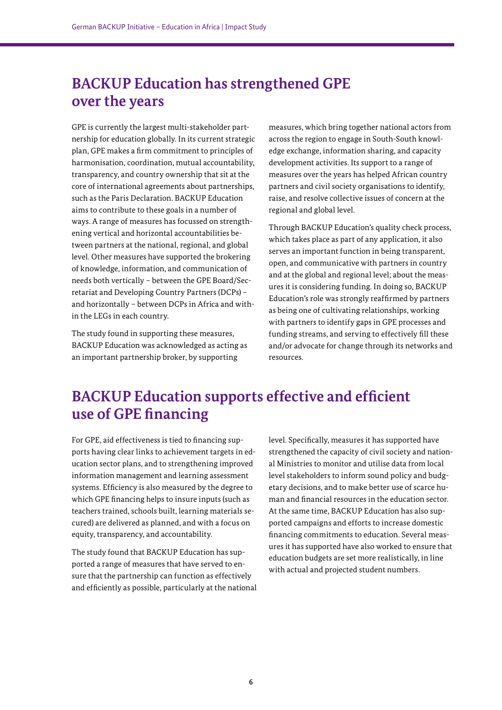#### **BACKUP Education has strengthened GPE over the years**

GPE is currently the largest multi-stakeholder partnership for education globally. In its current strategic plan, GPE makes a firm commitment to principles of harmonisation, coordination, mutual accountability, transparency, and country ownership that sit at the core of international agreements about partnerships, such as the Paris Declaration. BACKUP Education aims to contribute to these goals in a number of ways. A range of measures has focussed on strengthening vertical and horizontal accountabilities between partners at the national, regional, and global level. Other measures have supported the brokering of knowledge, information, and communication of needs both vertically – between the GPE Board/Secretariat and Developing Country Partners (DCPs) – and horizontally – between DCPs in Africa and within the LEGs in each country.

The study found in supporting these measures, BACKUP Education was acknowledged as acting as an important partnership broker, by supporting

measures, which bring together national actors from across the region to engage in South-South knowledge exchange, information sharing, and capacity development activities. Its support to a range of measures over the years has helped African country partners and civil society organisations to identify, raise, and resolve collective issues of concern at the regional and global level.

Through BACKUP Education's quality check process, which takes place as part of any application, it also serves an important function in being transparent, open, and communicative with partners in country and at the global and regional level; about the measures it is considering funding. In doing so, BACKUP Education's role was strongly reaffirmed by partners as being one of cultivating relationships, working with partners to identify gaps in GPE processes and funding streams, and serving to effectively fill these and/or advocate for change through its networks and resources.

#### **BACKUP Education supports effective and efficient use of GPE financing**

For GPE, aid effectiveness is tied to financing supports having clear links to achievement targets in education sector plans, and to strengthening improved information management and learning assessment systems. Efficiency is also measured by the degree to which GPE financing helps to insure inputs (such as teachers trained, schools built, learning materials secured) are delivered as planned, and with a focus on equity, transparency, and accountability.

The study found that BACKUP Education has supported a range of measures that have served to ensure that the partnership can function as effectively and efficiently as possible, particularly at the national

level. Specifically, measures it has supported have strengthened the capacity of civil society and national Ministries to monitor and utilise data from local level stakeholders to inform sound policy and budgetary decisions, and to make better use of scarce human and financial resources in the education sector. At the same time, BACKUP Education has also supported campaigns and efforts to increase domestic financing commitments to education. Several measures it has supported have also worked to ensure that education budgets are set more realistically, in line with actual and projected student numbers.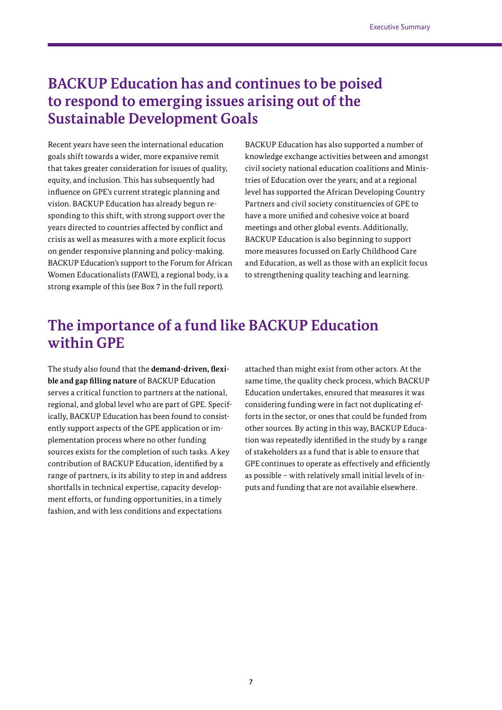#### **BACKUP Education has and continues to be poised to respond to emerging issues arising out of the Sustainable Development Goals**

Recent years have seen the international education goals shift towards a wider, more expansive remit that takes greater consideration for issues of quality, equity, and inclusion. This has subsequently had influence on GPE's current strategic planning and vision. BACKUP Education has already begun responding to this shift, with strong support over the years directed to countries affected by conflict and crisis as well as measures with a more explicit focus on gender responsive planning and policy-making. BACKUP Education's support to the Forum for African Women Educationalists (FAWE), a regional body, is a strong example of this (see Box 7 in the full report).

BACKUP Education has also supported a number of knowledge exchange activities between and amongst civil society national education coalitions and Ministries of Education over the years; and at a regional level has supported the African Developing Country Partners and civil society constituencies of GPE to have a more unified and cohesive voice at board meetings and other global events. Additionally, BACKUP Education is also beginning to support more measures focussed on Early Childhood Care and Education, as well as those with an explicit focus to strengthening quality teaching and learning.

#### **The importance of a fund like BACKUP Education within GPE**

The study also found that the **demand-driven, flexible and gap filling nature** of BACKUP Education serves a critical function to partners at the national, regional, and global level who are part of GPE. Specifically, BACKUP Education has been found to consistently support aspects of the GPE application or implementation process where no other funding sources exists for the completion of such tasks. A key contribution of BACKUP Education, identified by a range of partners, is its ability to step in and address shortfalls in technical expertise, capacity development efforts, or funding opportunities, in a timely fashion, and with less conditions and expectations

attached than might exist from other actors. At the same time, the quality check process, which BACKUP Education undertakes, ensured that measures it was considering funding were in fact not duplicating efforts in the sector, or ones that could be funded from other sources. By acting in this way, BACKUP Education was repeatedly identified in the study by a range of stakeholders as a fund that is able to ensure that GPE continues to operate as effectively and efficiently as possible – with relatively small initial levels of inputs and funding that are not available elsewhere.